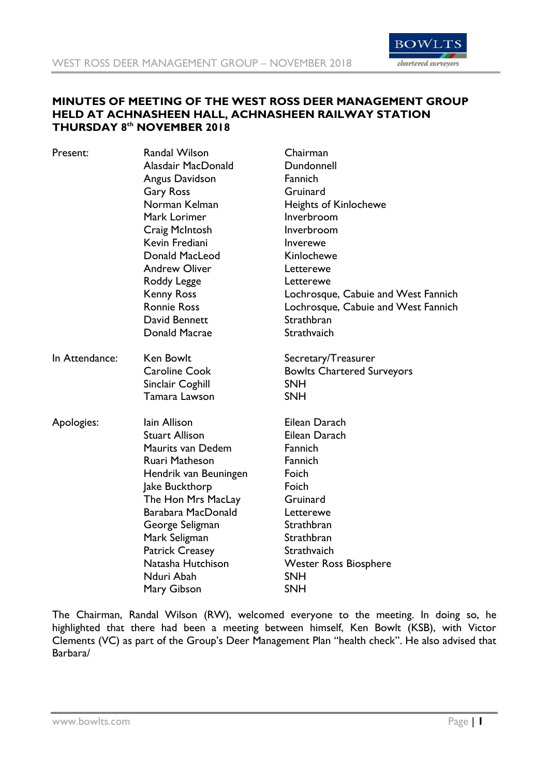

# **MINUTES OF MEETING OF THE WEST ROSS DEER MANAGEMENT GROUP HELD AT ACHNASHEEN HALL, ACHNASHEEN RAILWAY STATION THURSDAY 8 th NOVEMBER 2018**

| Present:       | Randal Wilson          | Chairman                            |
|----------------|------------------------|-------------------------------------|
|                | Alasdair MacDonald     | Dundonnell                          |
|                | Angus Davidson         | <b>Fannich</b>                      |
|                | <b>Gary Ross</b>       | Gruinard                            |
|                | Norman Kelman          | <b>Heights of Kinlochewe</b>        |
|                | Mark Lorimer           | Inverbroom                          |
|                | Craig McIntosh         | Inverbroom                          |
|                | Kevin Frediani         | Inverewe                            |
|                | Donald MacLeod         | Kinlochewe                          |
|                | <b>Andrew Oliver</b>   | Letterewe                           |
|                | Roddy Legge            | Letterewe                           |
|                | <b>Kenny Ross</b>      | Lochrosque, Cabuie and West Fannich |
|                | <b>Ronnie Ross</b>     | Lochrosque, Cabuie and West Fannich |
|                | David Bennett          | Strathbran                          |
|                | Donald Macrae          | Strathvaich                         |
| In Attendance: | <b>Ken Bowlt</b>       | Secretary/Treasurer                 |
|                | <b>Caroline Cook</b>   | <b>Bowlts Chartered Surveyors</b>   |
|                | Sinclair Coghill       | <b>SNH</b>                          |
|                | Tamara Lawson          | <b>SNH</b>                          |
| Apologies:     | lain Allison           | Eilean Darach                       |
|                | <b>Stuart Allison</b>  | Eilean Darach                       |
|                | Maurits van Dedem      | Fannich                             |
|                | Ruari Matheson         | Fannich                             |
|                | Hendrik van Beuningen  | Foich                               |
|                | Jake Buckthorp         | Foich                               |
|                | The Hon Mrs MacLay     | Gruinard                            |
|                | Barabara MacDonald     | Letterewe                           |
|                | George Seligman        | Strathbran                          |
|                | Mark Seligman          | Strathbran                          |
|                | <b>Patrick Creasey</b> | Strathvaich                         |
|                | Natasha Hutchison      | <b>Wester Ross Biosphere</b>        |
|                | Nduri Abah             | <b>SNH</b>                          |
|                | Mary Gibson            | <b>SNH</b>                          |
|                |                        |                                     |

The Chairman, Randal Wilson (RW), welcomed everyone to the meeting. In doing so, he highlighted that there had been a meeting between himself, Ken Bowlt (KSB), with Victor Clements (VC) as part of the Group's Deer Management Plan "health check". He also advised that Barbara/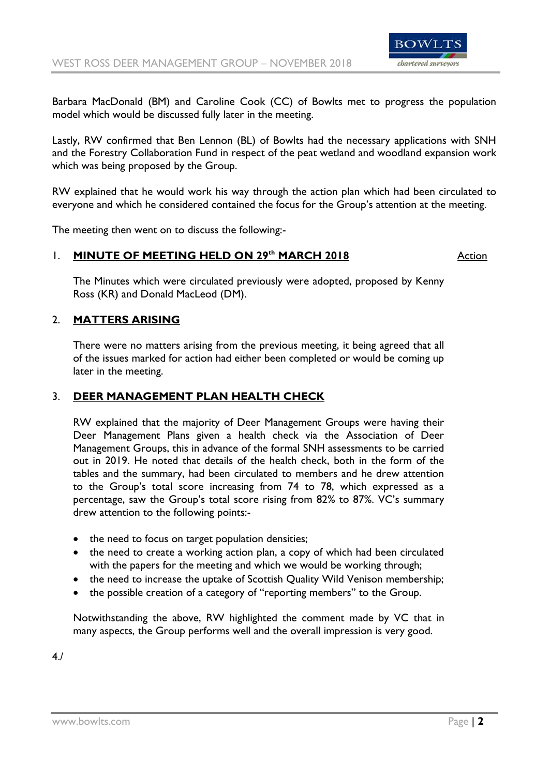

Barbara MacDonald (BM) and Caroline Cook (CC) of Bowlts met to progress the population model which would be discussed fully later in the meeting.

Lastly, RW confirmed that Ben Lennon (BL) of Bowlts had the necessary applications with SNH and the Forestry Collaboration Fund in respect of the peat wetland and woodland expansion work which was being proposed by the Group.

RW explained that he would work his way through the action plan which had been circulated to everyone and which he considered contained the focus for the Group's attention at the meeting.

The meeting then went on to discuss the following:-

## 1. **MINUTE OF MEETING HELD ON 29<sup>th</sup> MARCH 2018 Action**

The Minutes which were circulated previously were adopted, proposed by Kenny Ross (KR) and Donald MacLeod (DM).

## 2. **MATTERS ARISING**

There were no matters arising from the previous meeting, it being agreed that all of the issues marked for action had either been completed or would be coming up later in the meeting.

## 3. **DEER MANAGEMENT PLAN HEALTH CHECK**

RW explained that the majority of Deer Management Groups were having their Deer Management Plans given a health check via the Association of Deer Management Groups, this in advance of the formal SNH assessments to be carried out in 2019. He noted that details of the health check, both in the form of the tables and the summary, had been circulated to members and he drew attention to the Group's total score increasing from 74 to 78, which expressed as a percentage, saw the Group's total score rising from 82% to 87%. VC's summary drew attention to the following points:-

- the need to focus on target population densities;
- the need to create a working action plan, a copy of which had been circulated with the papers for the meeting and which we would be working through;
- the need to increase the uptake of Scottish Quality Wild Venison membership;
- the possible creation of a category of "reporting members" to the Group.

Notwithstanding the above, RW highlighted the comment made by VC that in many aspects, the Group performs well and the overall impression is very good.

4./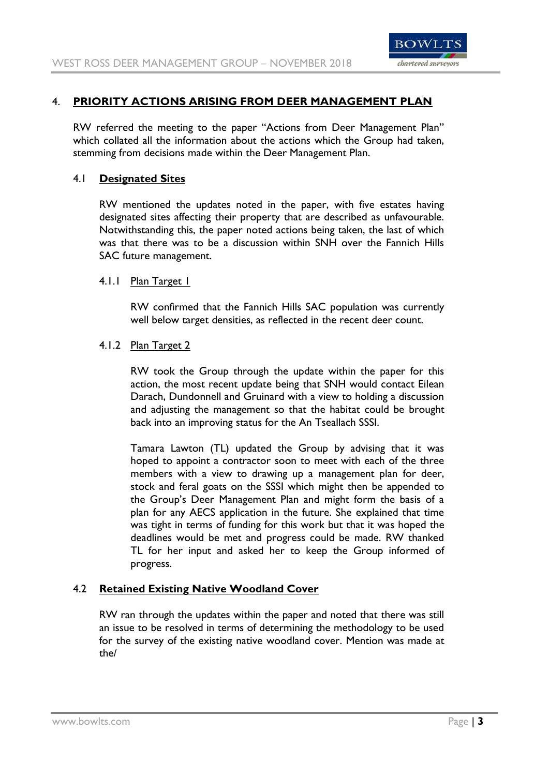

# 4. **PRIORITY ACTIONS ARISING FROM DEER MANAGEMENT PLAN**

RW referred the meeting to the paper "Actions from Deer Management Plan" which collated all the information about the actions which the Group had taken, stemming from decisions made within the Deer Management Plan.

## 4.1 **Designated Sites**

RW mentioned the updates noted in the paper, with five estates having designated sites affecting their property that are described as unfavourable. Notwithstanding this, the paper noted actions being taken, the last of which was that there was to be a discussion within SNH over the Fannich Hills SAC future management.

## 4.1.1 Plan Target 1

RW confirmed that the Fannich Hills SAC population was currently well below target densities, as reflected in the recent deer count.

## 4.1.2 Plan Target 2

RW took the Group through the update within the paper for this action, the most recent update being that SNH would contact Eilean Darach, Dundonnell and Gruinard with a view to holding a discussion and adjusting the management so that the habitat could be brought back into an improving status for the An Tseallach SSSI.

Tamara Lawton (TL) updated the Group by advising that it was hoped to appoint a contractor soon to meet with each of the three members with a view to drawing up a management plan for deer, stock and feral goats on the SSSI which might then be appended to the Group's Deer Management Plan and might form the basis of a plan for any AECS application in the future. She explained that time was tight in terms of funding for this work but that it was hoped the deadlines would be met and progress could be made. RW thanked TL for her input and asked her to keep the Group informed of progress.

# 4.2 **Retained Existing Native Woodland Cover**

RW ran through the updates within the paper and noted that there was still an issue to be resolved in terms of determining the methodology to be used for the survey of the existing native woodland cover. Mention was made at the/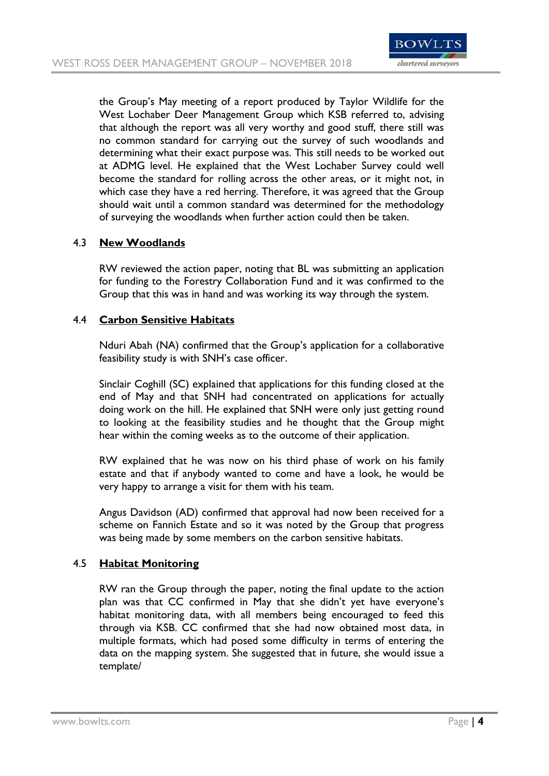

the Group's May meeting of a report produced by Taylor Wildlife for the West Lochaber Deer Management Group which KSB referred to, advising that although the report was all very worthy and good stuff, there still was no common standard for carrying out the survey of such woodlands and determining what their exact purpose was. This still needs to be worked out at ADMG level. He explained that the West Lochaber Survey could well become the standard for rolling across the other areas, or it might not, in which case they have a red herring. Therefore, it was agreed that the Group should wait until a common standard was determined for the methodology of surveying the woodlands when further action could then be taken.

## 4.3 **New Woodlands**

RW reviewed the action paper, noting that BL was submitting an application for funding to the Forestry Collaboration Fund and it was confirmed to the Group that this was in hand and was working its way through the system.

## 4.4 **Carbon Sensitive Habitats**

Nduri Abah (NA) confirmed that the Group's application for a collaborative feasibility study is with SNH's case officer.

Sinclair Coghill (SC) explained that applications for this funding closed at the end of May and that SNH had concentrated on applications for actually doing work on the hill. He explained that SNH were only just getting round to looking at the feasibility studies and he thought that the Group might hear within the coming weeks as to the outcome of their application.

RW explained that he was now on his third phase of work on his family estate and that if anybody wanted to come and have a look, he would be very happy to arrange a visit for them with his team.

Angus Davidson (AD) confirmed that approval had now been received for a scheme on Fannich Estate and so it was noted by the Group that progress was being made by some members on the carbon sensitive habitats.

## 4.5 **Habitat Monitoring**

RW ran the Group through the paper, noting the final update to the action plan was that CC confirmed in May that she didn't yet have everyone's habitat monitoring data, with all members being encouraged to feed this through via KSB. CC confirmed that she had now obtained most data, in multiple formats, which had posed some difficulty in terms of entering the data on the mapping system. She suggested that in future, she would issue a template/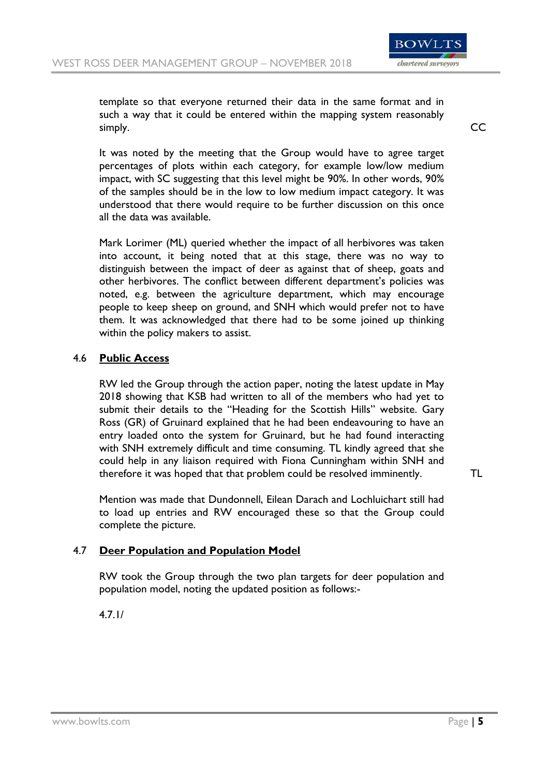

template so that everyone returned their data in the same format and in such a way that it could be entered within the mapping system reasonably simply. CCC

It was noted by the meeting that the Group would have to agree target percentages of plots within each category, for example low/low medium impact, with SC suggesting that this level might be 90%. In other words, 90% of the samples should be in the low to low medium impact category. It was understood that there would require to be further discussion on this once all the data was available.

Mark Lorimer (ML) queried whether the impact of all herbivores was taken into account, it being noted that at this stage, there was no way to distinguish between the impact of deer as against that of sheep, goats and other herbivores. The conflict between different department's policies was noted, e.g. between the agriculture department, which may encourage people to keep sheep on ground, and SNH which would prefer not to have them. It was acknowledged that there had to be some joined up thinking within the policy makers to assist.

## 4.6 **Public Access**

RW led the Group through the action paper, noting the latest update in May 2018 showing that KSB had written to all of the members who had yet to submit their details to the "Heading for the Scottish Hills" website. Gary Ross (GR) of Gruinard explained that he had been endeavouring to have an entry loaded onto the system for Gruinard, but he had found interacting with SNH extremely difficult and time consuming. TL kindly agreed that she could help in any liaison required with Fiona Cunningham within SNH and therefore it was hoped that that problem could be resolved imminently. TL

Mention was made that Dundonnell, Eilean Darach and Lochluichart still had to load up entries and RW encouraged these so that the Group could complete the picture.

#### 4.7 **Deer Population and Population Model**

RW took the Group through the two plan targets for deer population and population model, noting the updated position as follows:-

4.7.1/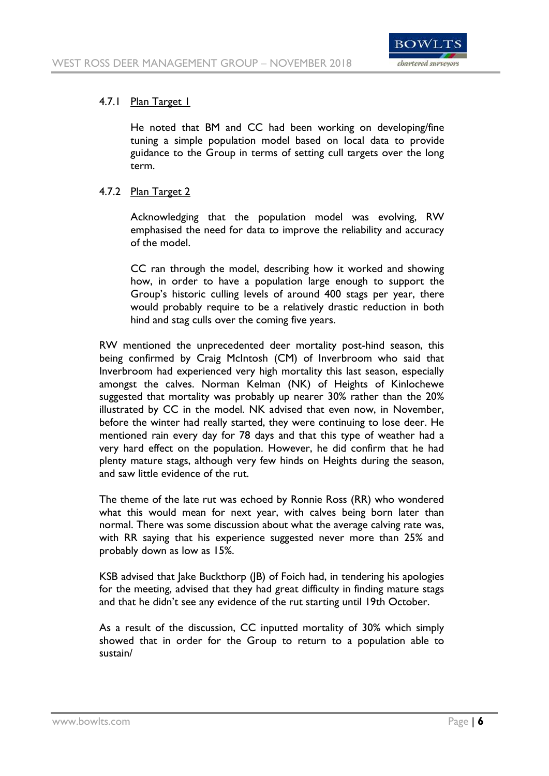

## 4.7.1 Plan Target 1

He noted that BM and CC had been working on developing/fine tuning a simple population model based on local data to provide guidance to the Group in terms of setting cull targets over the long term.

# 4.7.2 Plan Target 2

Acknowledging that the population model was evolving, RW emphasised the need for data to improve the reliability and accuracy of the model.

CC ran through the model, describing how it worked and showing how, in order to have a population large enough to support the Group's historic culling levels of around 400 stags per year, there would probably require to be a relatively drastic reduction in both hind and stag culls over the coming five years.

RW mentioned the unprecedented deer mortality post-hind season, this being confirmed by Craig McIntosh (CM) of Inverbroom who said that Inverbroom had experienced very high mortality this last season, especially amongst the calves. Norman Kelman (NK) of Heights of Kinlochewe suggested that mortality was probably up nearer 30% rather than the 20% illustrated by CC in the model. NK advised that even now, in November, before the winter had really started, they were continuing to lose deer. He mentioned rain every day for 78 days and that this type of weather had a very hard effect on the population. However, he did confirm that he had plenty mature stags, although very few hinds on Heights during the season, and saw little evidence of the rut.

The theme of the late rut was echoed by Ronnie Ross (RR) who wondered what this would mean for next year, with calves being born later than normal. There was some discussion about what the average calving rate was, with RR saying that his experience suggested never more than 25% and probably down as low as 15%.

KSB advised that Jake Buckthorp (JB) of Foich had, in tendering his apologies for the meeting, advised that they had great difficulty in finding mature stags and that he didn't see any evidence of the rut starting until 19th October.

As a result of the discussion, CC inputted mortality of 30% which simply showed that in order for the Group to return to a population able to sustain/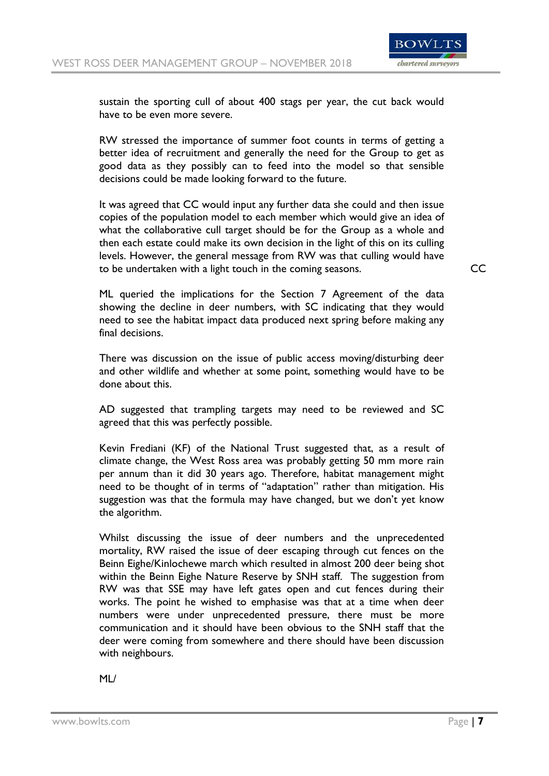

sustain the sporting cull of about 400 stags per year, the cut back would have to be even more severe.

RW stressed the importance of summer foot counts in terms of getting a better idea of recruitment and generally the need for the Group to get as good data as they possibly can to feed into the model so that sensible decisions could be made looking forward to the future.

It was agreed that CC would input any further data she could and then issue copies of the population model to each member which would give an idea of what the collaborative cull target should be for the Group as a whole and then each estate could make its own decision in the light of this on its culling levels. However, the general message from RW was that culling would have to be undertaken with a light touch in the coming seasons. CC

ML queried the implications for the Section 7 Agreement of the data showing the decline in deer numbers, with SC indicating that they would need to see the habitat impact data produced next spring before making any final decisions.

There was discussion on the issue of public access moving/disturbing deer and other wildlife and whether at some point, something would have to be done about this.

AD suggested that trampling targets may need to be reviewed and SC agreed that this was perfectly possible.

Kevin Frediani (KF) of the National Trust suggested that, as a result of climate change, the West Ross area was probably getting 50 mm more rain per annum than it did 30 years ago. Therefore, habitat management might need to be thought of in terms of "adaptation" rather than mitigation. His suggestion was that the formula may have changed, but we don't yet know the algorithm.

Whilst discussing the issue of deer numbers and the unprecedented mortality, RW raised the issue of deer escaping through cut fences on the Beinn Eighe/Kinlochewe march which resulted in almost 200 deer being shot within the Beinn Eighe Nature Reserve by SNH staff. The suggestion from RW was that SSE may have left gates open and cut fences during their works. The point he wished to emphasise was that at a time when deer numbers were under unprecedented pressure, there must be more communication and it should have been obvious to the SNH staff that the deer were coming from somewhere and there should have been discussion with neighbours.

ML/